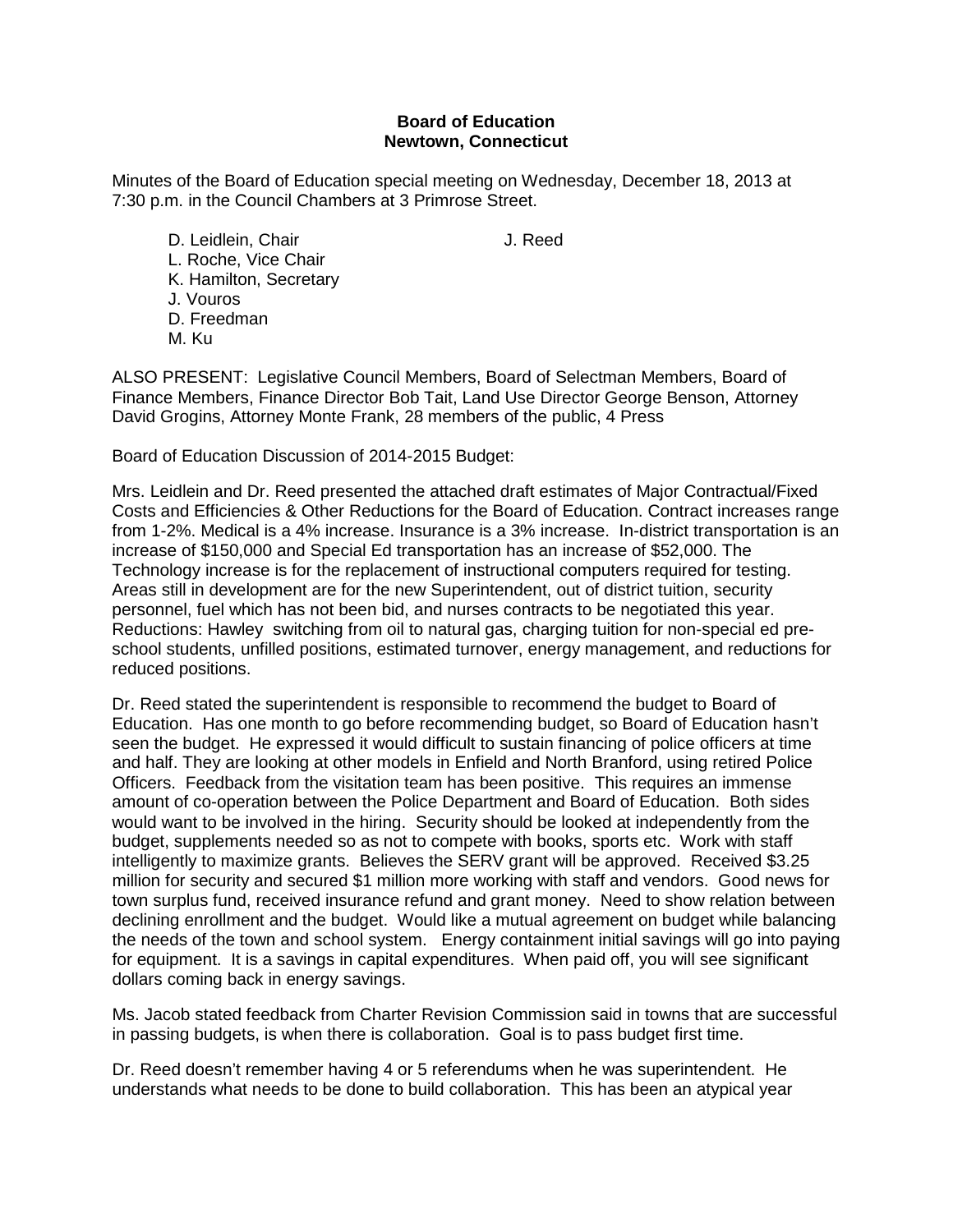## **Board of Education Newtown, Connecticut**

Minutes of the Board of Education special meeting on Wednesday, December 18, 2013 at 7:30 p.m. in the Council Chambers at 3 Primrose Street.

D. Leidlein, Chair **J. Reed** L. Roche, Vice Chair K. Hamilton, Secretary J. Vouros D. Freedman M. Ku

ALSO PRESENT: Legislative Council Members, Board of Selectman Members, Board of Finance Members, Finance Director Bob Tait, Land Use Director George Benson, Attorney David Grogins, Attorney Monte Frank, 28 members of the public, 4 Press

Board of Education Discussion of 2014-2015 Budget:

Mrs. Leidlein and Dr. Reed presented the attached draft estimates of Major Contractual/Fixed Costs and Efficiencies & Other Reductions for the Board of Education. Contract increases range from 1-2%. Medical is a 4% increase. Insurance is a 3% increase. In-district transportation is an increase of \$150,000 and Special Ed transportation has an increase of \$52,000. The Technology increase is for the replacement of instructional computers required for testing. Areas still in development are for the new Superintendent, out of district tuition, security personnel, fuel which has not been bid, and nurses contracts to be negotiated this year. Reductions: Hawley switching from oil to natural gas, charging tuition for non-special ed preschool students, unfilled positions, estimated turnover, energy management, and reductions for reduced positions.

Dr. Reed stated the superintendent is responsible to recommend the budget to Board of Education. Has one month to go before recommending budget, so Board of Education hasn't seen the budget. He expressed it would difficult to sustain financing of police officers at time and half. They are looking at other models in Enfield and North Branford, using retired Police Officers. Feedback from the visitation team has been positive. This requires an immense amount of co-operation between the Police Department and Board of Education. Both sides would want to be involved in the hiring. Security should be looked at independently from the budget, supplements needed so as not to compete with books, sports etc. Work with staff intelligently to maximize grants. Believes the SERV grant will be approved. Received \$3.25 million for security and secured \$1 million more working with staff and vendors. Good news for town surplus fund, received insurance refund and grant money. Need to show relation between declining enrollment and the budget. Would like a mutual agreement on budget while balancing the needs of the town and school system. Energy containment initial savings will go into paying for equipment. It is a savings in capital expenditures. When paid off, you will see significant dollars coming back in energy savings.

Ms. Jacob stated feedback from Charter Revision Commission said in towns that are successful in passing budgets, is when there is collaboration. Goal is to pass budget first time.

Dr. Reed doesn't remember having 4 or 5 referendums when he was superintendent. He understands what needs to be done to build collaboration. This has been an atypical year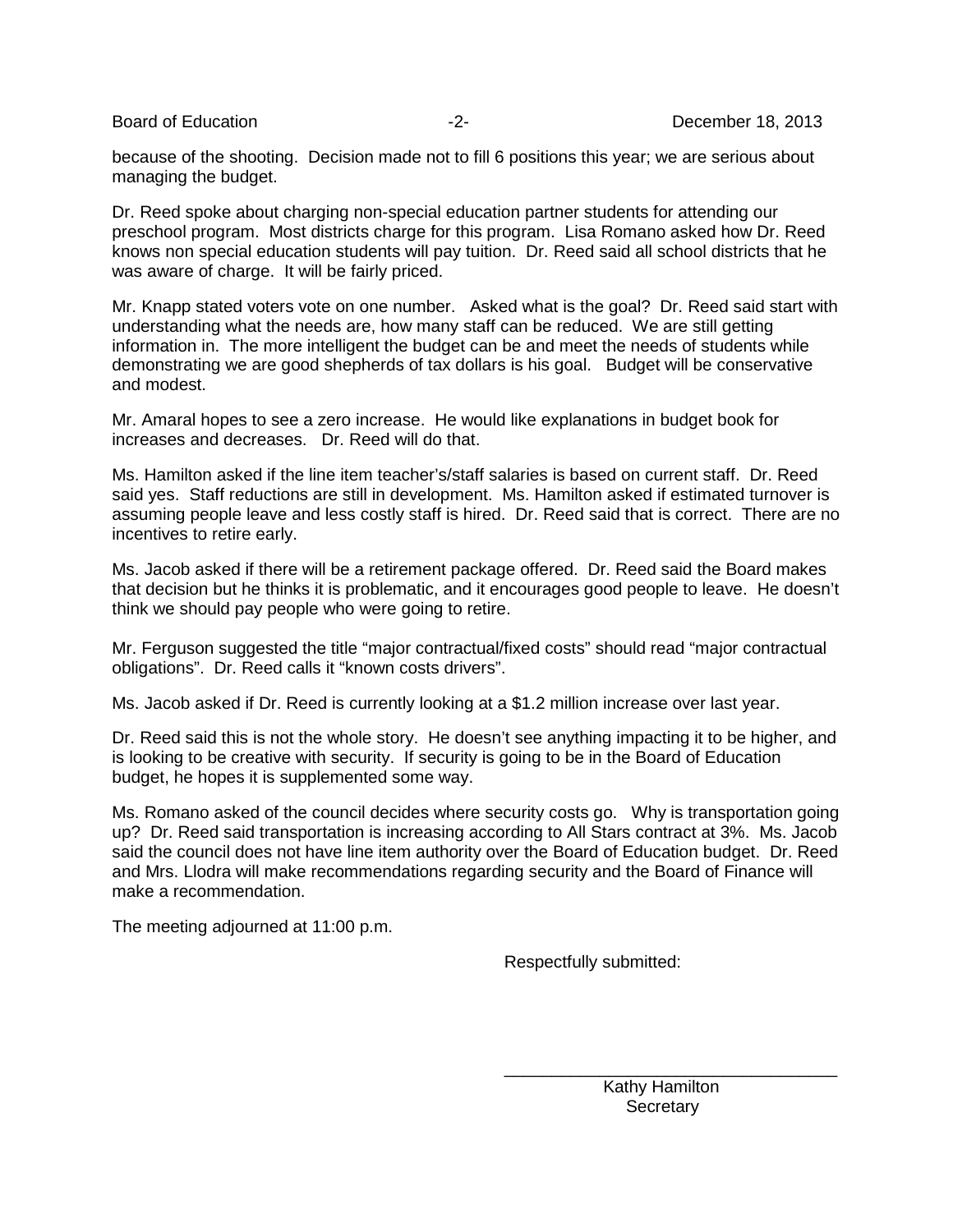because of the shooting. Decision made not to fill 6 positions this year; we are serious about managing the budget.

Dr. Reed spoke about charging non-special education partner students for attending our preschool program. Most districts charge for this program. Lisa Romano asked how Dr. Reed knows non special education students will pay tuition. Dr. Reed said all school districts that he was aware of charge. It will be fairly priced.

Mr. Knapp stated voters vote on one number. Asked what is the goal? Dr. Reed said start with understanding what the needs are, how many staff can be reduced. We are still getting information in. The more intelligent the budget can be and meet the needs of students while demonstrating we are good shepherds of tax dollars is his goal. Budget will be conservative and modest.

Mr. Amaral hopes to see a zero increase. He would like explanations in budget book for increases and decreases. Dr. Reed will do that.

Ms. Hamilton asked if the line item teacher's/staff salaries is based on current staff. Dr. Reed said yes. Staff reductions are still in development. Ms. Hamilton asked if estimated turnover is assuming people leave and less costly staff is hired. Dr. Reed said that is correct. There are no incentives to retire early.

Ms. Jacob asked if there will be a retirement package offered. Dr. Reed said the Board makes that decision but he thinks it is problematic, and it encourages good people to leave. He doesn't think we should pay people who were going to retire.

Mr. Ferguson suggested the title "major contractual/fixed costs" should read "major contractual obligations". Dr. Reed calls it "known costs drivers".

Ms. Jacob asked if Dr. Reed is currently looking at a \$1.2 million increase over last year.

Dr. Reed said this is not the whole story. He doesn't see anything impacting it to be higher, and is looking to be creative with security. If security is going to be in the Board of Education budget, he hopes it is supplemented some way.

Ms. Romano asked of the council decides where security costs go. Why is transportation going up? Dr. Reed said transportation is increasing according to All Stars contract at 3%. Ms. Jacob said the council does not have line item authority over the Board of Education budget. Dr. Reed and Mrs. Llodra will make recommendations regarding security and the Board of Finance will make a recommendation.

The meeting adjourned at 11:00 p.m.

Respectfully submitted:

 Kathy Hamilton **Secretary** 

\_\_\_\_\_\_\_\_\_\_\_\_\_\_\_\_\_\_\_\_\_\_\_\_\_\_\_\_\_\_\_\_\_\_\_